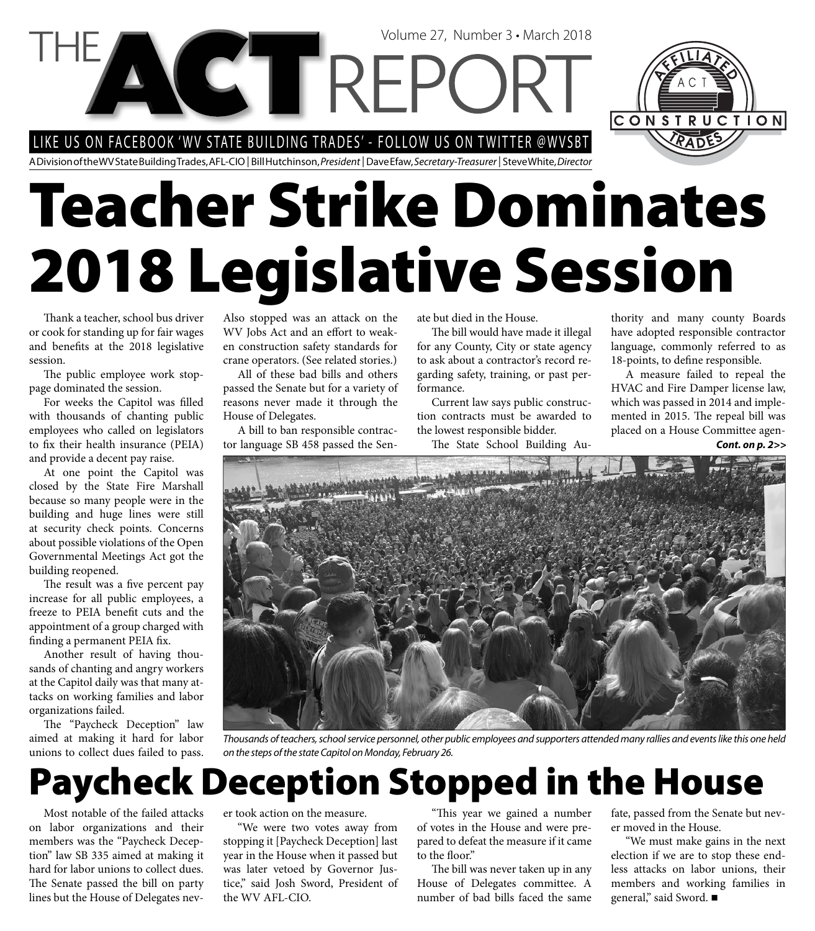LIKE US ON FACEBOOK 'WV STATE BUILDING TRADES' - FOLLOW US ON TWITTER @WVSBT

A Division of the WV State Building Trades, AFL-CIO | Bill Hutchinson, President | Dave Efaw, Secretary-Treasurer | Steve White, Director

# **Teacher Strike Dominates 2018 Legislative Session**

Volume 27, Number 3 • March 2018

Thank a teacher, school bus driver or cook for standing up for fair wages and benefits at the 2018 legislative session.

The public employee work stoppage dominated the session.

For weeks the Capitol was filled with thousands of chanting public employees who called on legislators to fix their health insurance (PEIA) and provide a decent pay raise.

At one point the Capitol was closed by the State Fire Marshall because so many people were in the building and huge lines were still at security check points. Concerns about possible violations of the Open Governmental Meetings Act got the building reopened.

The result was a five percent pay increase for all public employees, a freeze to PEIA benefit cuts and the appointment of a group charged with finding a permanent PEIA fix.

Another result of having thousands of chanting and angry workers at the Capitol daily was that many attacks on working families and labor organizations failed.

The "Paycheck Deception" law aimed at making it hard for labor unions to collect dues failed to pass. Also stopped was an attack on the WV Jobs Act and an effort to weaken construction safety standards for crane operators. (See related stories.)

All of these bad bills and others passed the Senate but for a variety of reasons never made it through the House of Delegates.

A bill to ban responsible contractor language SB 458 passed the Senate but died in the House.

The bill would have made it illegal for any County, City or state agency to ask about a contractor's record regarding safety, training, or past performance.

Current law says public construction contracts must be awarded to the lowest responsible bidder.

The State School Building Au-

thority and many county Boards have adopted responsible contractor language, commonly referred to as 18-points, to define responsible.

CONSTRUCTION

A measure failed to repeal the HVAC and Fire Damper license law, which was passed in 2014 and implemented in 2015. The repeal bill was placed on a House Committee agen-

*Cont. on p. 2>>*



Thousands of teachers, school service personnel, other public employees and supporters attended many rallies and events like this one held on the steps of the state Capitol on Monday, February 26.

### **Paycheck Deception Stopped in the House**

Most notable of the failed attacks on labor organizations and their members was the "Paycheck Deception" law SB 335 aimed at making it hard for labor unions to collect dues. The Senate passed the bill on party lines but the House of Delegates never took action on the measure.

"We were two votes away from stopping it [Paycheck Deception] last year in the House when it passed but was later vetoed by Governor Justice," said Josh Sword, President of the WV AFL-CIO.

"This year we gained a number of votes in the House and were prepared to defeat the measure if it came to the floor."

The bill was never taken up in any House of Delegates committee. A number of bad bills faced the same

fate, passed from the Senate but never moved in the House.

"We must make gains in the next election if we are to stop these endless attacks on labor unions, their members and working families in general," said Sword.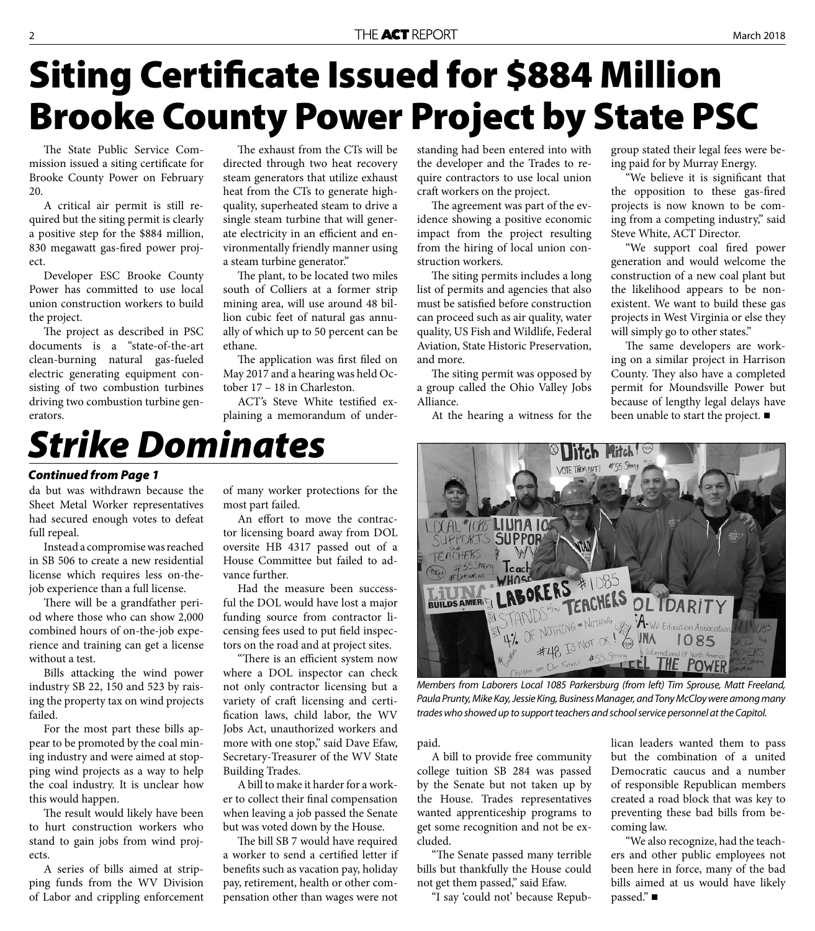## **Siting Certificate Issued for \$884 Million Brooke County Power Project by State PSC**

The State Public Service Commission issued a siting certificate for Brooke County Power on February 20.

A critical air permit is still required but the siting permit is clearly a positive step for the \$884 million, 830 megawatt gas-fired power project.

Developer ESC Brooke County Power has committed to use local union construction workers to build the project.

The project as described in PSC documents is a "state-of-the-art clean-burning natural gas-fueled electric generating equipment consisting of two combustion turbines driving two combustion turbine generators.

The exhaust from the CTs will be directed through two heat recovery steam generators that utilize exhaust heat from the CTs to generate highquality, superheated steam to drive a single steam turbine that will generate electricity in an efficient and environmentally friendly manner using a steam turbine generator."

The plant, to be located two miles south of Colliers at a former strip mining area, will use around 48 billion cubic feet of natural gas annually of which up to 50 percent can be ethane.

The application was first filed on May 2017 and a hearing was held October 17 – 18 in Charleston.

ACT's Steve White testified explaining a memorandum of understanding had been entered into with the developer and the Trades to require contractors to use local union craft workers on the project.

The agreement was part of the evidence showing a positive economic impact from the project resulting from the hiring of local union construction workers.

The siting permits includes a long list of permits and agencies that also must be satisfied before construction can proceed such as air quality, water quality, US Fish and Wildlife, Federal Aviation, State Historic Preservation, and more.

The siting permit was opposed by a group called the Ohio Valley Jobs Alliance.

At the hearing a witness for the

group stated their legal fees were being paid for by Murray Energy.

"We believe it is significant that the opposition to these gas-fired projects is now known to be coming from a competing industry," said Steve White, ACT Director.

"We support coal fired power generation and would welcome the construction of a new coal plant but the likelihood appears to be nonexistent. We want to build these gas projects in West Virginia or else they will simply go to other states."

The same developers are working on a similar project in Harrison County. They also have a completed permit for Moundsville Power but because of lengthy legal delays have been unable to start the project.

### *Strike Dominates*

#### *Continued from Page 1*

da but was withdrawn because the Sheet Metal Worker representatives had secured enough votes to defeat full repeal.

Instead a compromise was reached in SB 506 to create a new residential license which requires less on-thejob experience than a full license.

There will be a grandfather period where those who can show 2,000 combined hours of on-the-job experience and training can get a license without a test.

Bills attacking the wind power industry SB 22, 150 and 523 by raising the property tax on wind projects failed.

For the most part these bills appear to be promoted by the coal mining industry and were aimed at stopping wind projects as a way to help the coal industry. It is unclear how this would happen.

The result would likely have been to hurt construction workers who stand to gain jobs from wind projects.

A series of bills aimed at stripping funds from the WV Division of Labor and crippling enforcement of many worker protections for the most part failed.

An effort to move the contractor licensing board away from DOL oversite HB 4317 passed out of a House Committee but failed to advance further.

Had the measure been successful the DOL would have lost a major funding source from contractor licensing fees used to put field inspectors on the road and at project sites.

"There is an efficient system now where a DOL inspector can check not only contractor licensing but a variety of craft licensing and certification laws, child labor, the WV Jobs Act, unauthorized workers and more with one stop," said Dave Efaw, Secretary-Treasurer of the WV State Building Trades.

A bill to make it harder for a worker to collect their final compensation when leaving a job passed the Senate but was voted down by the House.

The bill SB 7 would have required a worker to send a certified letter if benefits such as vacation pay, holiday pay, retirement, health or other compensation other than wages were not



Paula Prunty, Mike Kay, Jessie King, Business Manager, and Tony McCloy were among many trades who showed up to support teachers and school service personnel at the Capitol.

paid.

A bill to provide free community college tuition SB 284 was passed by the Senate but not taken up by the House. Trades representatives wanted apprenticeship programs to get some recognition and not be excluded.

"The Senate passed many terrible bills but thankfully the House could not get them passed," said Efaw.

"I say 'could not' because Repub-

lican leaders wanted them to pass but the combination of a united Democratic caucus and a number of responsible Republican members created a road block that was key to preventing these bad bills from becoming law.

"We also recognize, had the teachers and other public employees not been here in force, many of the bad bills aimed at us would have likely passed." ■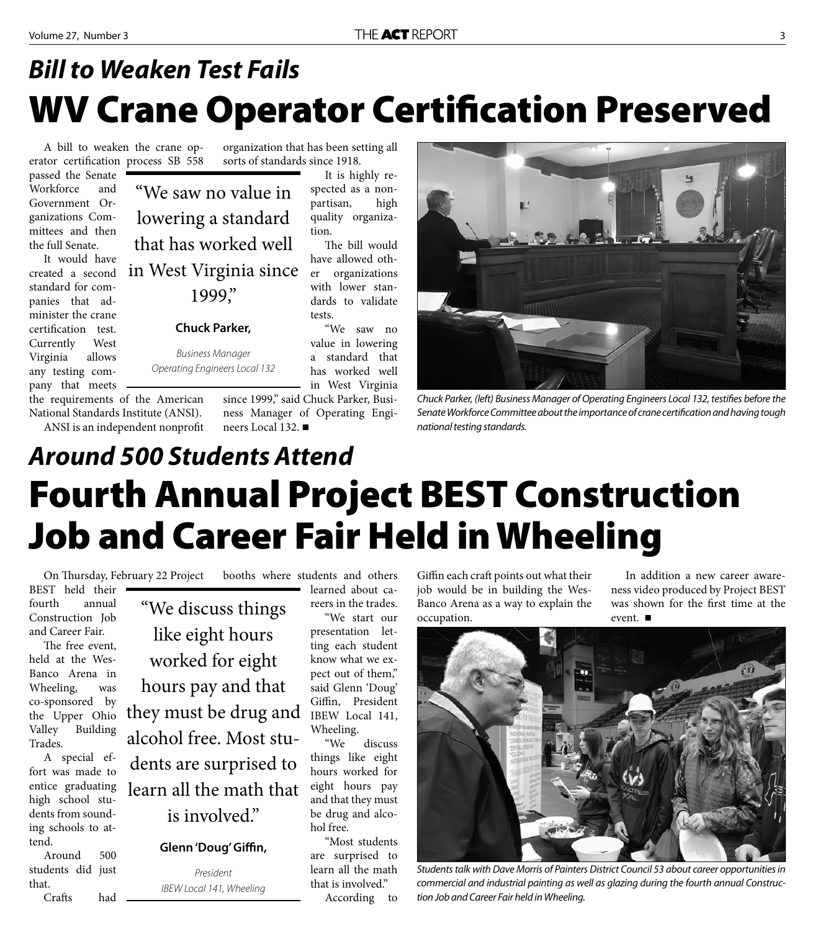### **WV Crane Operator Certification Preserved** *Bill to Weaken Test Fails*

It is highly respected as a nonpartisan, high quality organiza-

The bill would have allowed other organizations with lower standards to validate

"We saw no value in lowering a standard that has worked well

A bill to weaken the crane operator certification process SB 558 passed the Senate Workforce and Government Organizations Committees and then the full Senate.

It would have created a second standard for companies that administer the crane certification test. Currently West Virginia allows any testing company that meets

the requirements of the American National Standards Institute (ANSI). ANSI is an independent nonprofit

organization that has been setting all sorts of standards since 1918.

"We saw no value in lowering a standard that has worked well in West Virginia since 1999,"

#### **Chuck Parker,**

Business Manager Operating Engineers Local 132

> in West Virginia since 1999," said Chuck Parker, Business Manager of Operating Engineers Local 132.

tion.

tests.



Chuck Parker, (left) Business Manager of Operating Engineers Local 132, testifies before the Senate Workforce Committee about the importance of crane certification and having tough national testing standards.

### **Fourth Annual Project BEST Construction Job and Career Fair Held in Wheeling** *Around 500 Students Attend*

On Thursday, February 22 Project

BEST held their fourth annual Construction Job and Career Fair.

The free event, held at the Wes-Banco Arena in Wheeling, was co-sponsored by the Upper Ohio Valley Building Trades.

A special effort was made to entice graduating high school students from sounding schools to attend.

Around 500 students did just that.

Crafts had

"We discuss things like eight hours worked for eight hours pay and that they must be drug and alcohol free. Most students are surprised to learn all the math that

### is involved."

#### Glenn 'Doug' Giffin,

President IBEW Local 141, Wheeling

booths where students and others learned about careers in the trades.

> "We start our presentation letting each student know what we expect out of them," said Glenn 'Doug' Giffin, President IBEW Local 141, Wheeling.

"We discuss things like eight hours worked for eight hours pay and that they must be drug and alcohol free.

"Most students are surprised to learn all the math that is involved."

According to

Giffin each craft points out what their job would be in building the Wes-Banco Arena as a way to explain the occupation.

In addition a new career awareness video produced by Project BEST was shown for the first time at the event. ■



Students talk with Dave Morris of Painters District Council 53 about career opportunities in commercial and industrial painting as well as glazing during the fourth annual Construction Job and Career Fair held in Wheeling.